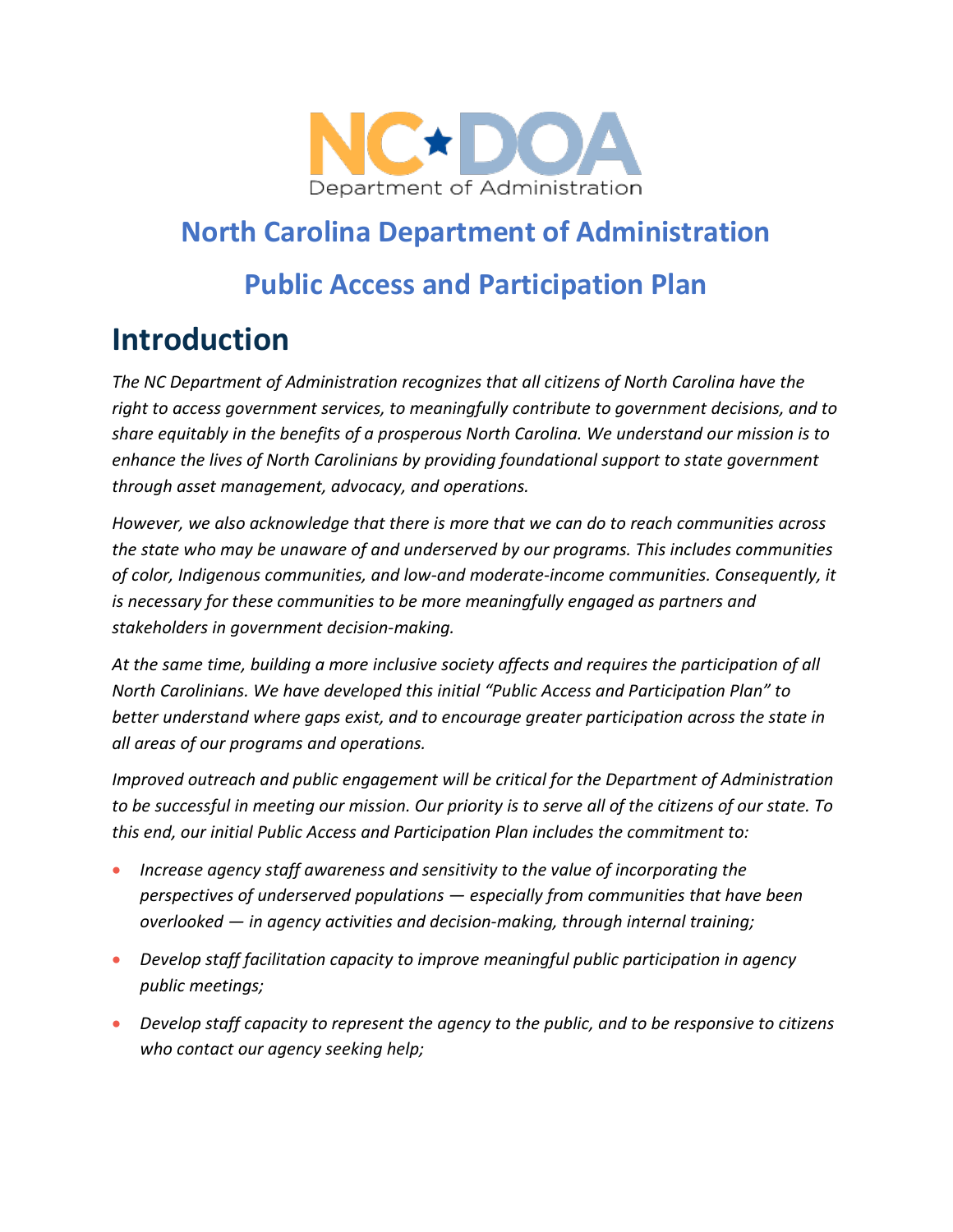

## **North Carolina Department of Administration**

### **Public Access and Participation Plan**

## **Introduction**

*The NC Department of Administration recognizes that all citizens of North Carolina have the right to access government services, to meaningfully contribute to government decisions, and to share equitably in the benefits of a prosperous North Carolina. We understand our mission is to enhance the lives of North Carolinians by providing foundational support to state government through asset management, advocacy, and operations.*

*However, we also acknowledge that there is more that we can do to reach communities across the state who may be unaware of and underserved by our programs. This includes communities of color, Indigenous communities, and low-and moderate-income communities. Consequently, it is necessary for these communities to be more meaningfully engaged as partners and stakeholders in government decision-making.*

*At the same time, building a more inclusive society affects and requires the participation of all North Carolinians. We have developed this initial "Public Access and Participation Plan" to better understand where gaps exist, and to encourage greater participation across the state in all areas of our programs and operations.*

*Improved outreach and public engagement will be critical for the Department of Administration to be successful in meeting our mission. Our priority is to serve all of the citizens of our state. To this end, our initial Public Access and Participation Plan includes the commitment to:*

- *Increase agency staff awareness and sensitivity to the value of incorporating the perspectives of underserved populations — especially from communities that have been overlooked — in agency activities and decision-making, through internal training;*
- *Develop staff facilitation capacity to improve meaningful public participation in agency public meetings;*
- *Develop staff capacity to represent the agency to the public, and to be responsive to citizens who contact our agency seeking help;*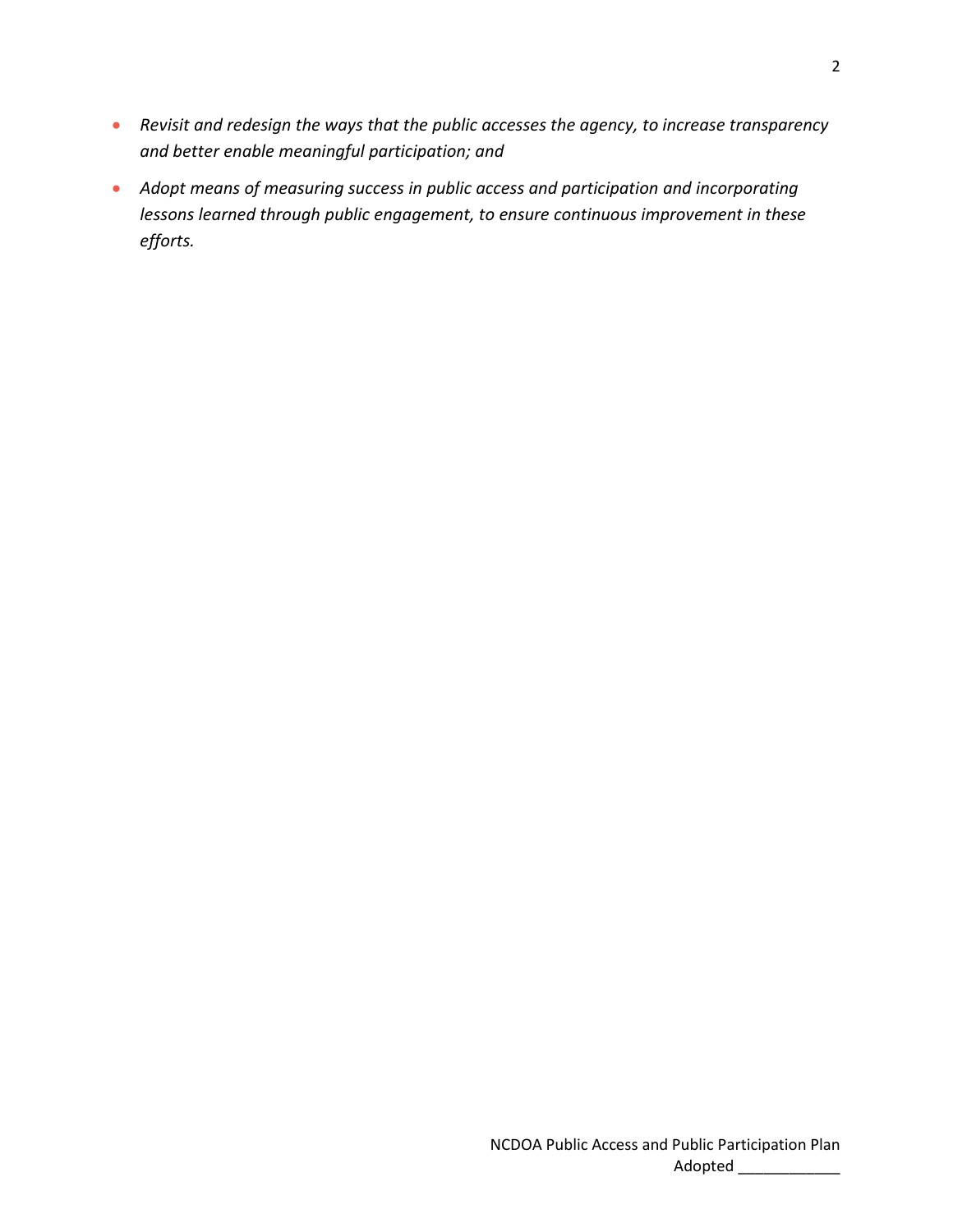- *Revisit and redesign the ways that the public accesses the agency, to increase transparency and better enable meaningful participation; and*
- *Adopt means of measuring success in public access and participation and incorporating lessons learned through public engagement, to ensure continuous improvement in these efforts.*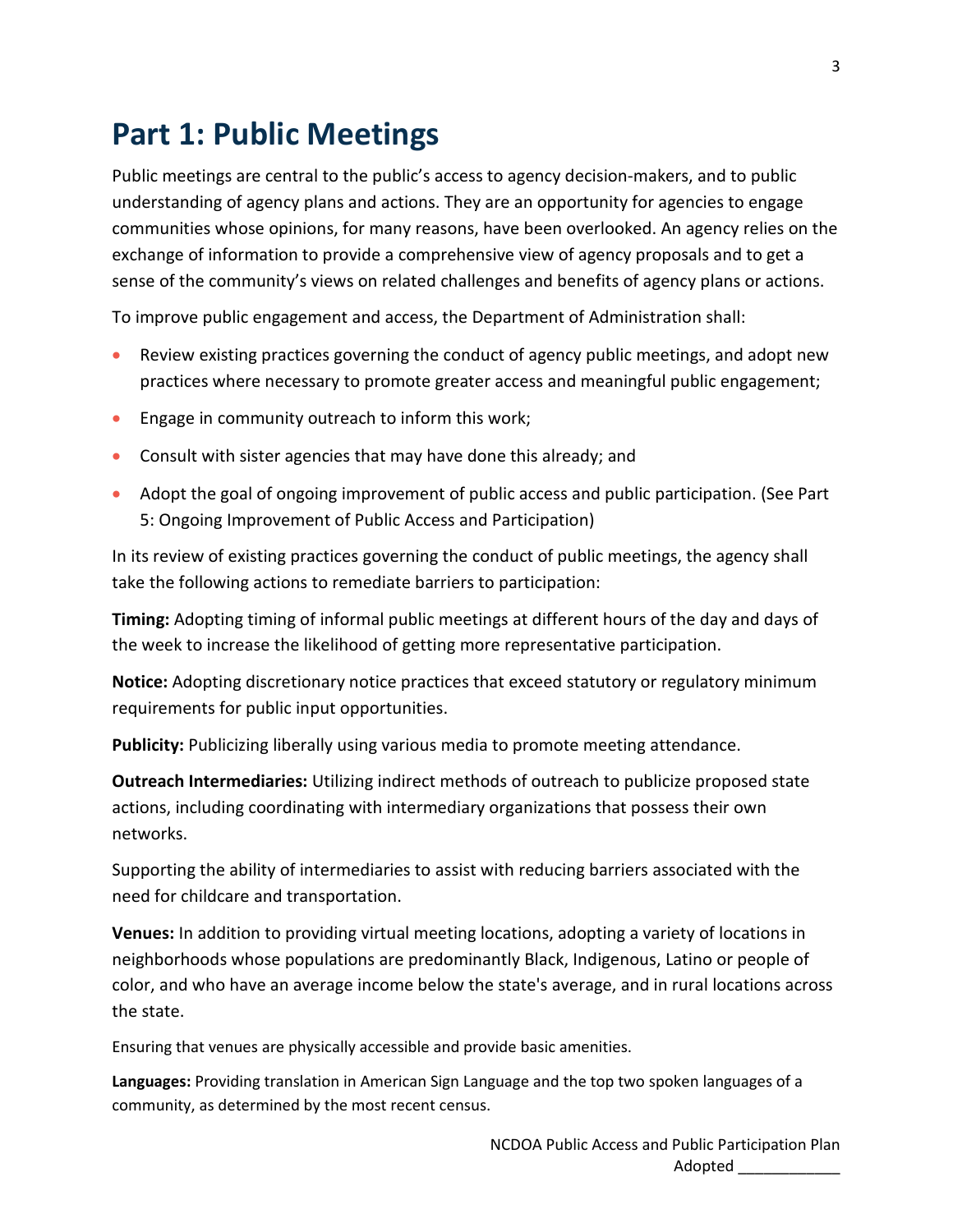## **Part 1: Public Meetings**

Public meetings are central to the public's access to agency decision-makers, and to public understanding of agency plans and actions. They are an opportunity for agencies to engage communities whose opinions, for many reasons, have been overlooked. An agency relies on the exchange of information to provide a comprehensive view of agency proposals and to get a sense of the community's views on related challenges and benefits of agency plans or actions.

To improve public engagement and access, the Department of Administration shall:

- Review existing practices governing the conduct of agency public meetings, and adopt new practices where necessary to promote greater access and meaningful public engagement;
- Engage in community outreach to inform this work;
- Consult with sister agencies that may have done this already; and
- Adopt the goal of ongoing improvement of public access and public participation. (See Part 5: Ongoing Improvement of Public Access and Participation)

In its review of existing practices governing the conduct of public meetings, the agency shall take the following actions to remediate barriers to participation:

**Timing:** Adopting timing of informal public meetings at different hours of the day and days of the week to increase the likelihood of getting more representative participation.

**Notice:** Adopting discretionary notice practices that exceed statutory or regulatory minimum requirements for public input opportunities.

**Publicity:** Publicizing liberally using various media to promote meeting attendance.

**Outreach Intermediaries:** Utilizing indirect methods of outreach to publicize proposed state actions, including coordinating with intermediary organizations that possess their own networks.

Supporting the ability of intermediaries to assist with reducing barriers associated with the need for childcare and transportation.

**Venues:** In addition to providing virtual meeting locations, adopting a variety of locations in neighborhoods whose populations are predominantly Black, Indigenous, Latino or people of color, and who have an average income below the state's average, and in rural locations across the state.

Ensuring that venues are physically accessible and provide basic amenities.

**Languages:** Providing translation in American Sign Language and the top two spoken languages of a community, as determined by the most recent census.

3

NCDOA Public Access and Public Participation Plan Adopted \_\_\_\_\_\_\_\_\_\_\_\_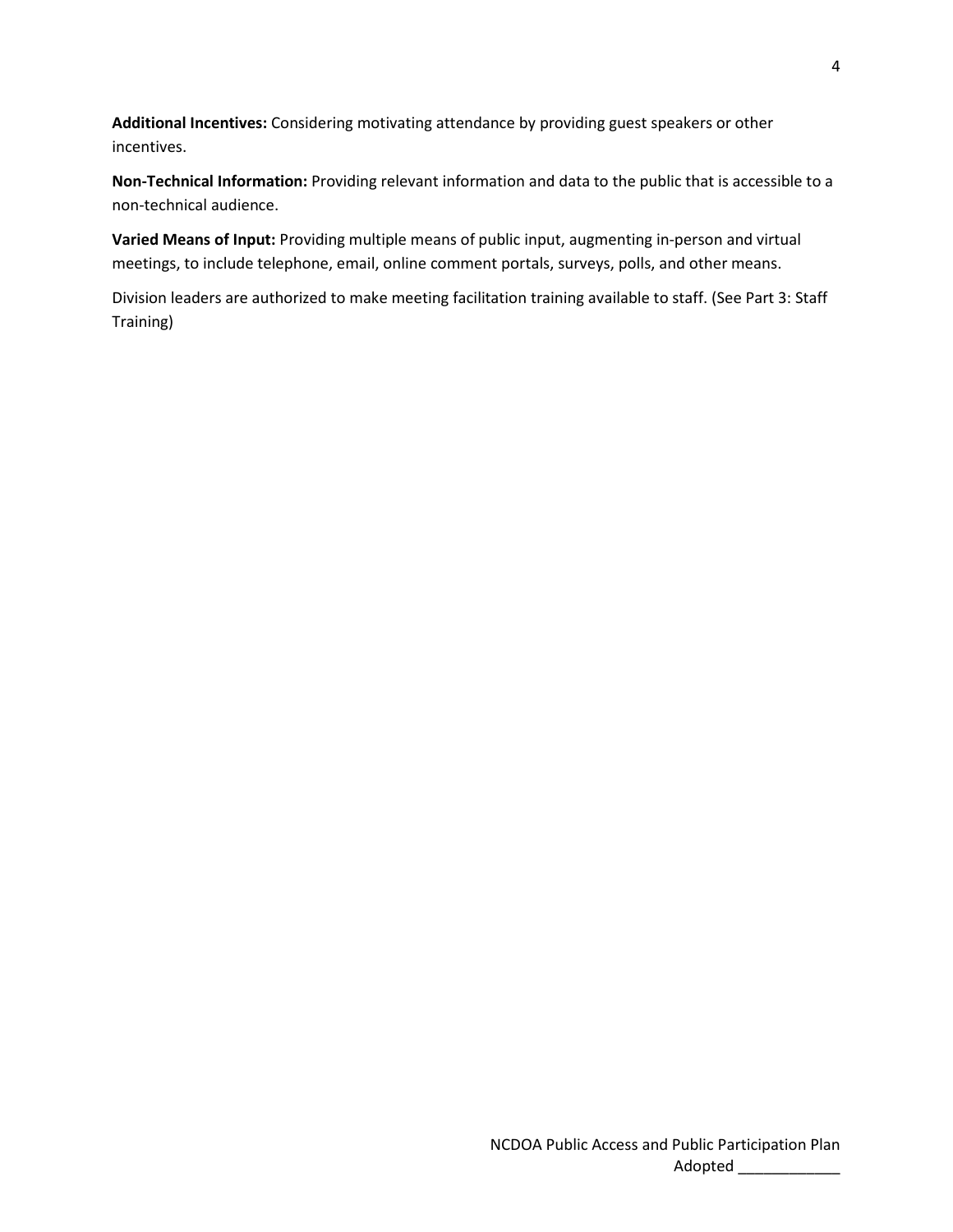**Additional Incentives:** Considering motivating attendance by providing guest speakers or other incentives.

**Non-Technical Information:** Providing relevant information and data to the public that is accessible to a non-technical audience.

**Varied Means of Input:** Providing multiple means of public input, augmenting in-person and virtual meetings, to include telephone, email, online comment portals, surveys, polls, and other means.

Division leaders are authorized to make meeting facilitation training available to staff. (See Part 3: Staff Training)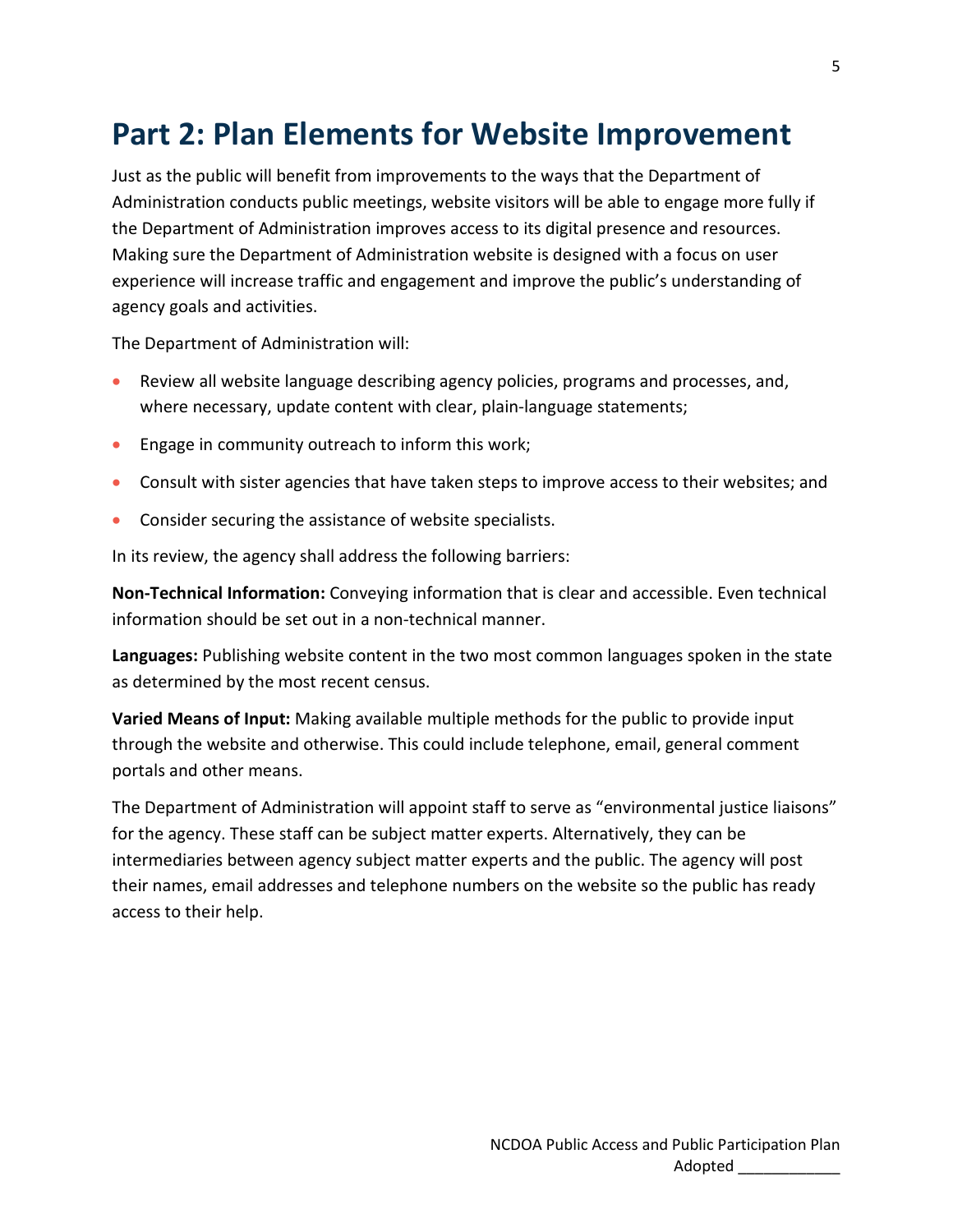## **Part 2: Plan Elements for Website Improvement**

Just as the public will benefit from improvements to the ways that the Department of Administration conducts public meetings, website visitors will be able to engage more fully if the Department of Administration improves access to its digital presence and resources. Making sure the Department of Administration website is designed with a focus on user experience will increase traffic and engagement and improve the public's understanding of agency goals and activities.

The Department of Administration will:

- Review all website language describing agency policies, programs and processes, and, where necessary, update content with clear, plain-language statements;
- Engage in community outreach to inform this work;
- Consult with sister agencies that have taken steps to improve access to their websites; and
- Consider securing the assistance of website specialists.

In its review, the agency shall address the following barriers:

**Non-Technical Information:** Conveying information that is clear and accessible. Even technical information should be set out in a non-technical manner.

**Languages:** Publishing website content in the two most common languages spoken in the state as determined by the most recent census.

**Varied Means of Input:** Making available multiple methods for the public to provide input through the website and otherwise. This could include telephone, email, general comment portals and other means.

The Department of Administration will appoint staff to serve as "environmental justice liaisons" for the agency. These staff can be subject matter experts. Alternatively, they can be intermediaries between agency subject matter experts and the public. The agency will post their names, email addresses and telephone numbers on the website so the public has ready access to their help.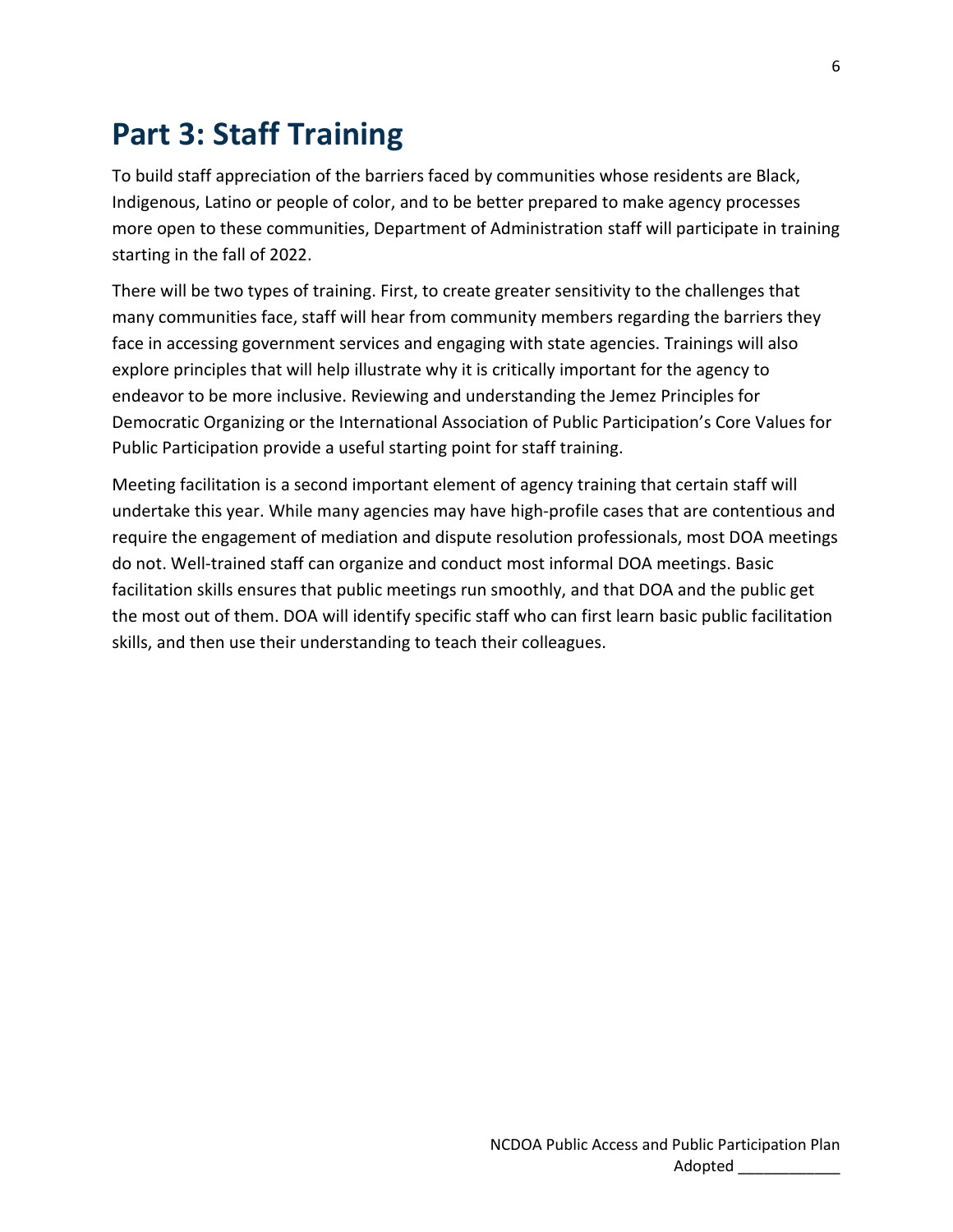## **Part 3: Staff Training**

To build staff appreciation of the barriers faced by communities whose residents are Black, Indigenous, Latino or people of color, and to be better prepared to make agency processes more open to these communities, Department of Administration staff will participate in training starting in the fall of 2022.

There will be two types of training. First, to create greater sensitivity to the challenges that many communities face, staff will hear from community members regarding the barriers they face in accessing government services and engaging with state agencies. Trainings will also explore principles that will help illustrate why it is critically important for the agency to endeavor to be more inclusive. Reviewing and understanding the Jemez Principles for Democratic Organizing or the International Association of Public Participation's Core Values for Public Participation provide a useful starting point for staff training.

Meeting facilitation is a second important element of agency training that certain staff will undertake this year. While many agencies may have high-profile cases that are contentious and require the engagement of mediation and dispute resolution professionals, most DOA meetings do not. Well-trained staff can organize and conduct most informal DOA meetings. Basic facilitation skills ensures that public meetings run smoothly, and that DOA and the public get the most out of them. DOA will identify specific staff who can first learn basic public facilitation skills, and then use their understanding to teach their colleagues.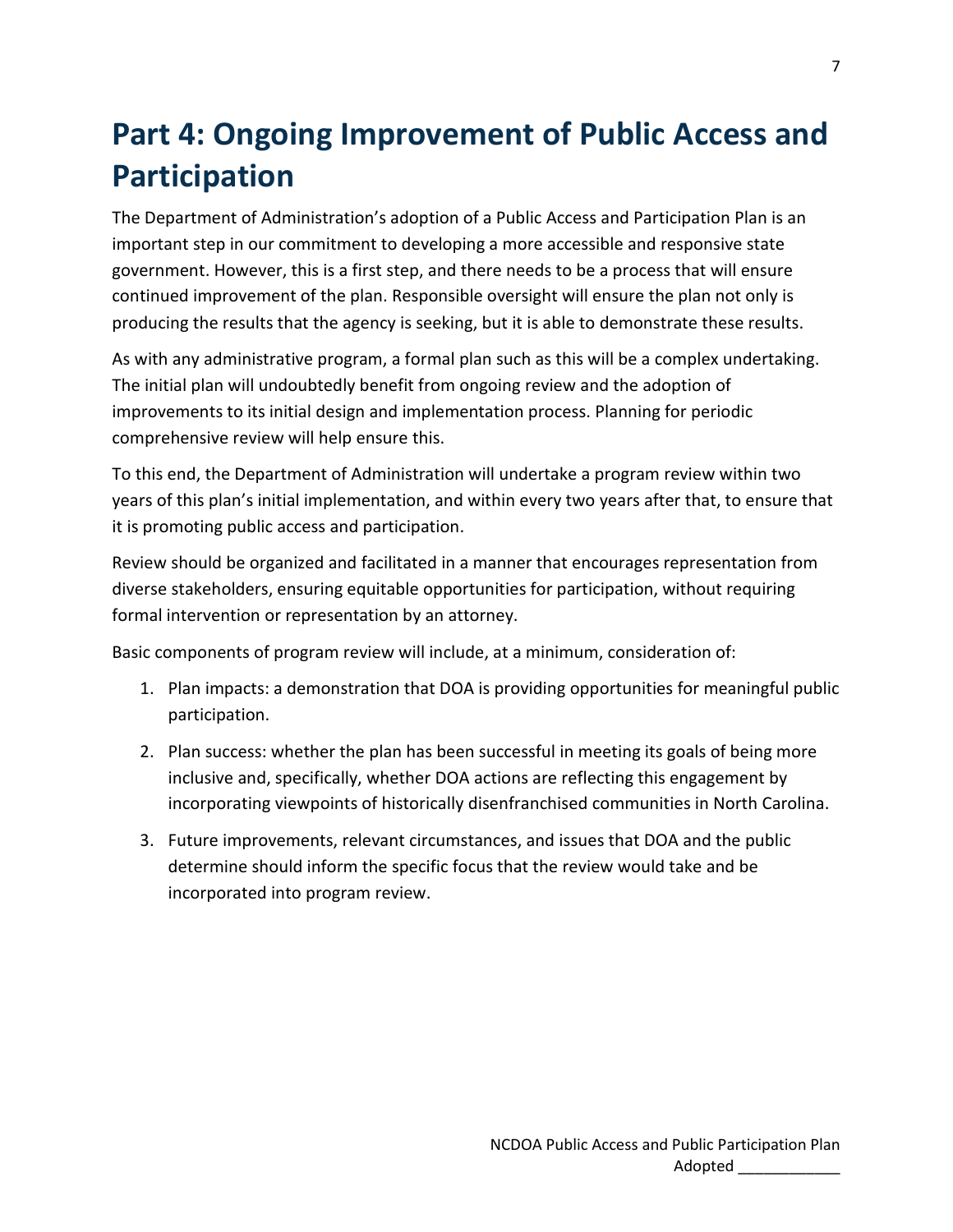## **Part 4: Ongoing Improvement of Public Access and Participation**

The Department of Administration's adoption of a Public Access and Participation Plan is an important step in our commitment to developing a more accessible and responsive state government. However, this is a first step, and there needs to be a process that will ensure continued improvement of the plan. Responsible oversight will ensure the plan not only is producing the results that the agency is seeking, but it is able to demonstrate these results.

As with any administrative program, a formal plan such as this will be a complex undertaking. The initial plan will undoubtedly benefit from ongoing review and the adoption of improvements to its initial design and implementation process. Planning for periodic comprehensive review will help ensure this.

To this end, the Department of Administration will undertake a program review within two years of this plan's initial implementation, and within every two years after that, to ensure that it is promoting public access and participation.

Review should be organized and facilitated in a manner that encourages representation from diverse stakeholders, ensuring equitable opportunities for participation, without requiring formal intervention or representation by an attorney.

Basic components of program review will include, at a minimum, consideration of:

- 1. Plan impacts: a demonstration that DOA is providing opportunities for meaningful public participation.
- 2. Plan success: whether the plan has been successful in meeting its goals of being more inclusive and, specifically, whether DOA actions are reflecting this engagement by incorporating viewpoints of historically disenfranchised communities in North Carolina.
- 3. Future improvements, relevant circumstances, and issues that DOA and the public determine should inform the specific focus that the review would take and be incorporated into program review.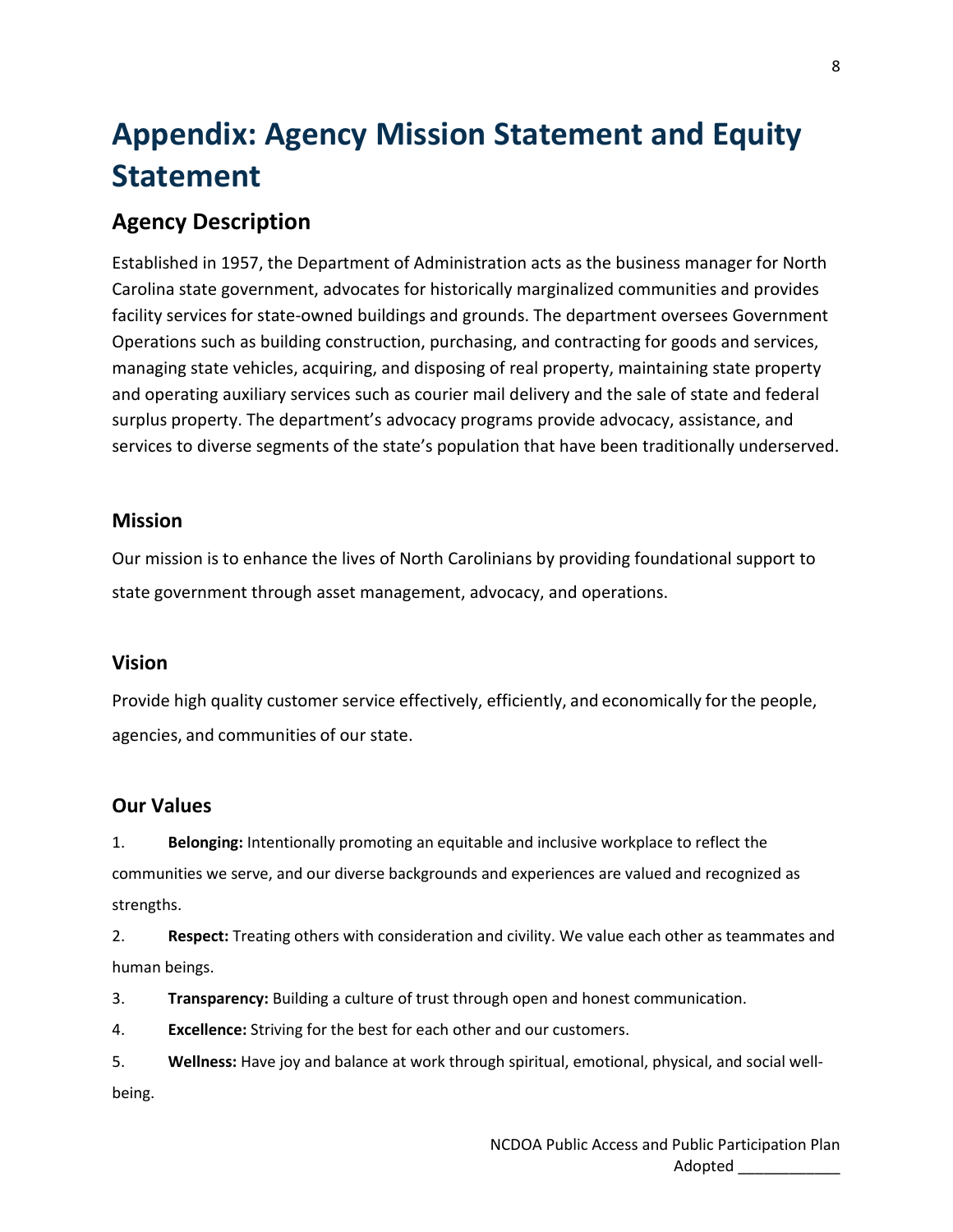# **Appendix: Agency Mission Statement and Equity Statement**

### **Agency Description**

Established in 1957, the Department of Administration acts as the business manager for North Carolina state government, advocates for historically marginalized communities and provides facility services for state-owned buildings and grounds. The department oversees Government Operations such as building construction, purchasing, and contracting for goods and services, managing state vehicles, acquiring, and disposing of real property, maintaining state property and operating auxiliary services such as courier mail delivery and the sale of state and federal surplus property. The department's advocacy programs provide advocacy, assistance, and services to diverse segments of the state's population that have been traditionally underserved.

#### **Mission**

Our mission is to enhance the lives of North Carolinians by providing foundational support to state government through asset management, advocacy, and operations.

#### **Vision**

Provide high quality customer service effectively, efficiently, and economically for the people, agencies, and communities of our state.

#### **Our Values**

1. **Belonging:** Intentionally promoting an equitable and inclusive workplace to reflect the communities we serve, and our diverse backgrounds and experiences are valued and recognized as strengths.

2. **Respect:** Treating others with consideration and civility. We value each other as teammates and human beings.

3. **Transparency:** Building a culture of trust through open and honest communication.

4. **Excellence:** Striving for the best for each other and our customers.

5. **Wellness:** Have joy and balance at work through spiritual, emotional, physical, and social wellbeing.